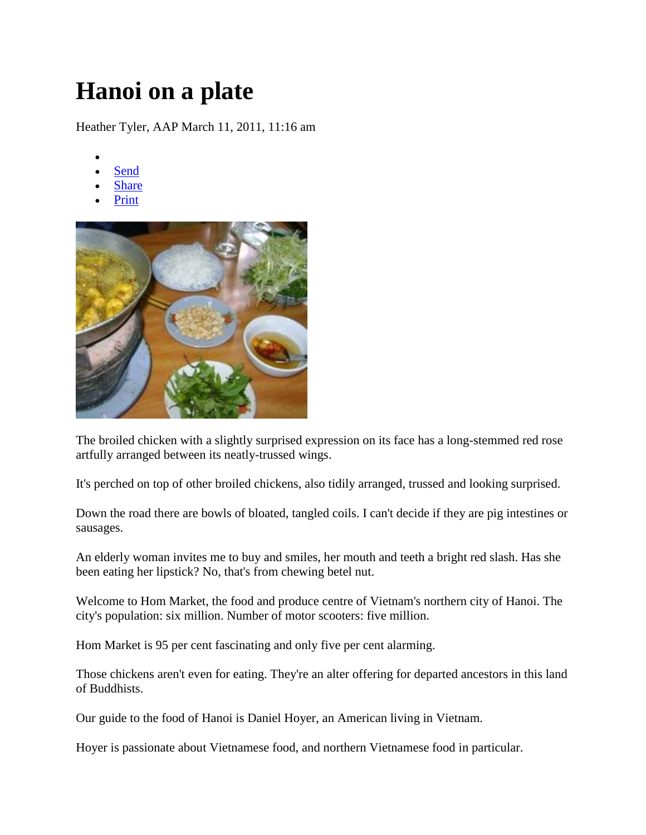## **Hanoi on a plate**

Heather Tyler, AAP March 11, 2011, 11:16 am

- $\bullet$
- [Send](http://m2f.news.yahoo.com/mailto?url=http%3A%2F%2Fau.news.yahoo.com%2Fa%2F-%2Flatest%2F8992276%2Fhanoi-on-a-plate%2F&title=Hanoi+on+a+plate+-+Yahoo%217&prop=dailynews&locale=au) [Share](http://del.icio.us/post?v=4&noui&jump=close&url=http%3A%2F%2Fau.news.yahoo.com%2Fa%2F-%2Flatest%2F8992276%2Fhanoi-on-a-plate%2F&title=Hanoi+on+a+plate+-+Yahoo%217)
- 
- [Print](javascript:print();)



The broiled chicken with a slightly surprised expression on its face has a long-stemmed red rose artfully arranged between its neatly-trussed wings.

It's perched on top of other broiled chickens, also tidily arranged, trussed and looking surprised.

Down the road there are bowls of bloated, tangled coils. I can't decide if they are pig intestines or sausages.

An elderly woman invites me to buy and smiles, her mouth and teeth a bright red slash. Has she been eating her lipstick? No, that's from chewing betel nut.

Welcome to Hom Market, the food and produce centre of Vietnam's northern city of Hanoi. The city's population: six million. Number of motor scooters: five million.

Hom Market is 95 per cent fascinating and only five per cent alarming.

Those chickens aren't even for eating. They're an alter offering for departed ancestors in this land of Buddhists.

Our guide to the food of Hanoi is Daniel Hoyer, an American living in Vietnam.

Hoyer is passionate about Vietnamese food, and northern Vietnamese food in particular.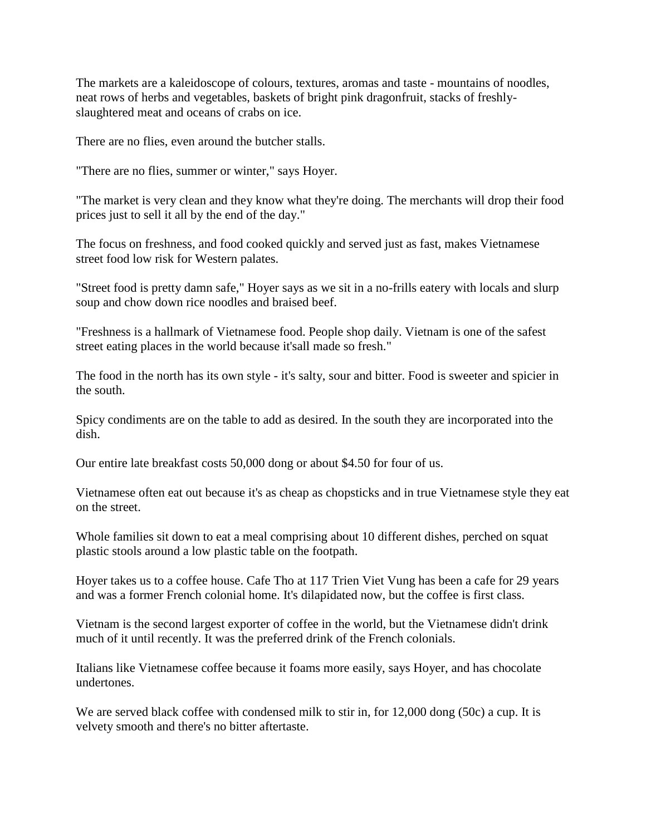The markets are a kaleidoscope of colours, textures, aromas and taste - mountains of noodles, neat rows of herbs and vegetables, baskets of bright pink dragonfruit, stacks of freshlyslaughtered meat and oceans of crabs on ice.

There are no flies, even around the butcher stalls.

"There are no flies, summer or winter," says Hoyer.

"The market is very clean and they know what they're doing. The merchants will drop their food prices just to sell it all by the end of the day."

The focus on freshness, and food cooked quickly and served just as fast, makes Vietnamese street food low risk for Western palates.

"Street food is pretty damn safe," Hoyer says as we sit in a no-frills eatery with locals and slurp soup and chow down rice noodles and braised beef.

"Freshness is a hallmark of Vietnamese food. People shop daily. Vietnam is one of the safest street eating places in the world because it'sall made so fresh."

The food in the north has its own style - it's salty, sour and bitter. Food is sweeter and spicier in the south.

Spicy condiments are on the table to add as desired. In the south they are incorporated into the dish.

Our entire late breakfast costs 50,000 dong or about \$4.50 for four of us.

Vietnamese often eat out because it's as cheap as chopsticks and in true Vietnamese style they eat on the street.

Whole families sit down to eat a meal comprising about 10 different dishes, perched on squat plastic stools around a low plastic table on the footpath.

Hoyer takes us to a coffee house. Cafe Tho at 117 Trien Viet Vung has been a cafe for 29 years and was a former French colonial home. It's dilapidated now, but the coffee is first class.

Vietnam is the second largest exporter of coffee in the world, but the Vietnamese didn't drink much of it until recently. It was the preferred drink of the French colonials.

Italians like Vietnamese coffee because it foams more easily, says Hoyer, and has chocolate undertones.

We are served black coffee with condensed milk to stir in, for 12,000 dong (50c) a cup. It is velvety smooth and there's no bitter aftertaste.